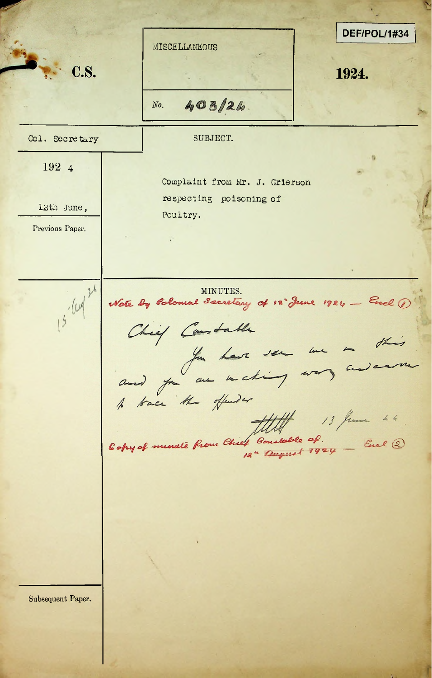**V** DEF/POL/1#34 MISCELLANEOUS C.S. 1924.  $403/24$ *No.* Col. Secretary SUBJECT. 192 4 Complaint from Mr. J. Grierson respecting poisoning of **12th June, and the contract of the contract of the contract of the contract of the contract of the contract of the contract of the contract of the contract of the contract of the contract of the contract of the contract o** Poultry. Previous Paper. Wate by Colombal Secretary of 12 June 1924 - Excel 1  $15 - 124$ Copy of minute from Chief Constable of. \_ Enel 2 Subsequent Paper.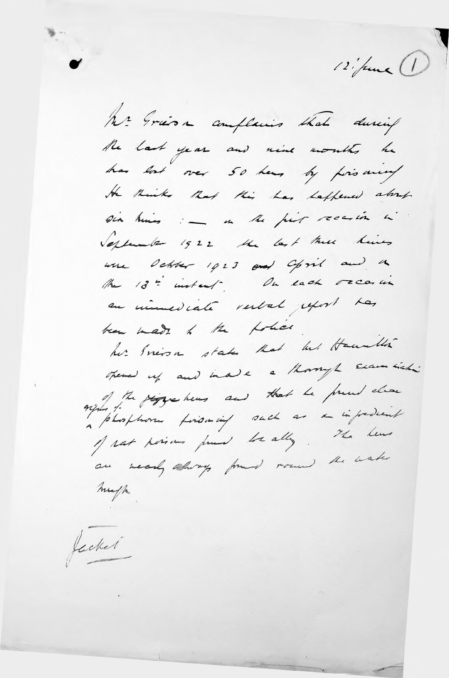12 june 1

he Grésa complains that during the last year and nine months he has lost over 50 hears by poisoning the Ruiks Rot this has happened about six himes : - in the part receive in Verlander 1522 the last the hims were debter 1923 and Opril and a The 13" instead . On each occasion en númeriate restal peport has team made to the police. her Presso states that he Hannblin opened up and inade a though Exam sich: exploit the page hows and that he presed clear a plusphora foromming such as a impredent of rat persons pour lor ally. The hear are wearly chory from row the wake map

Jecket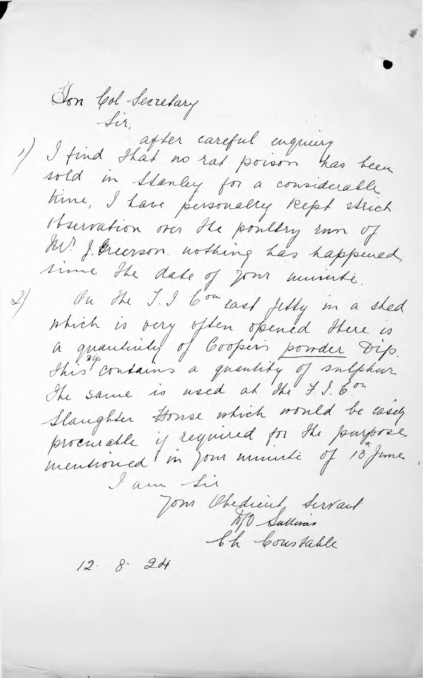Ton Col Secretary Sir. after careful engineery sold in Stanley for a considerable time, I have personally kept stuck Herration on the pouldry um of A. J. Greenson wolking has happened sime the date of your municipe. On the J. I Comeand July in a shed which is very often opened there is<br>a quanticity of Coopers powder Dip.<br>This contains a quantity of sulphur Slaughter Donne which would be easy procurable is required for the payores mensionned (in Jon munici of 18 june I am Li Jom Obedient Servant  $12.8.24$